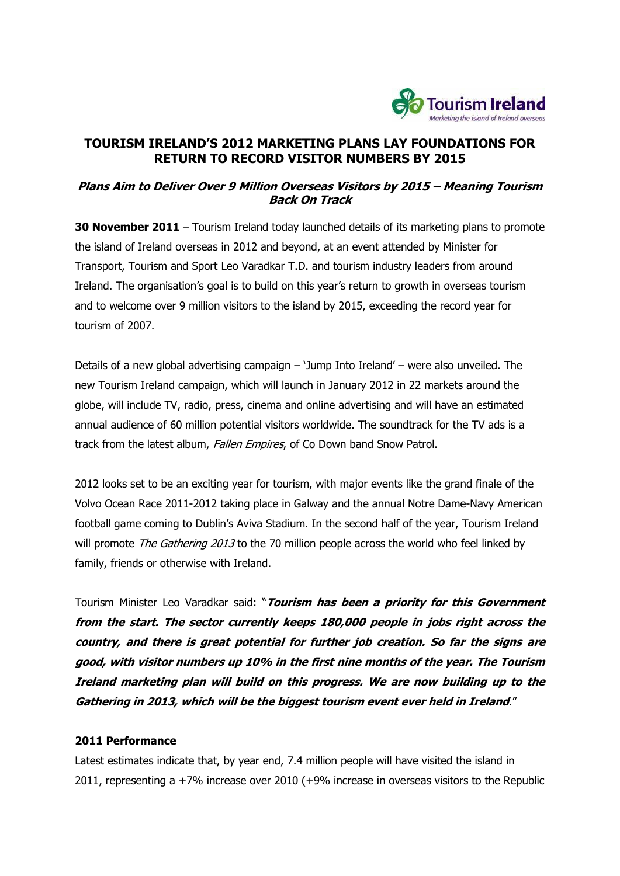

# **TOURISM IRELAND"S 2012 MARKETING PLANS LAY FOUNDATIONS FOR RETURN TO RECORD VISITOR NUMBERS BY 2015**

# **Plans Aim to Deliver Over 9 Million Overseas Visitors by 2015 – Meaning Tourism Back On Track**

**30 November 2011** – Tourism Ireland today launched details of its marketing plans to promote the island of Ireland overseas in 2012 and beyond, at an event attended by Minister for Transport, Tourism and Sport Leo Varadkar T.D. and tourism industry leaders from around Ireland. The organisation"s goal is to build on this year"s return to growth in overseas tourism and to welcome over 9 million visitors to the island by 2015, exceeding the record year for tourism of 2007.

Details of a new global advertising campaign – "Jump Into Ireland" – were also unveiled. The new Tourism Ireland campaign, which will launch in January 2012 in 22 markets around the globe, will include TV, radio, press, cinema and online advertising and will have an estimated annual audience of 60 million potential visitors worldwide. The soundtrack for the TV ads is a track from the latest album, Fallen Empires, of Co Down band Snow Patrol.

2012 looks set to be an exciting year for tourism, with major events like the grand finale of the Volvo Ocean Race 2011-2012 taking place in Galway and the annual Notre Dame-Navy American football game coming to Dublin"s Aviva Stadium. In the second half of the year, Tourism Ireland will promote The Gathering 2013 to the 70 million people across the world who feel linked by family, friends or otherwise with Ireland.

Tourism Minister Leo Varadkar said: "**Tourism has been a priority for this Government from the start. The sector currently keeps 180,000 people in jobs right across the country, and there is great potential for further job creation. So far the signs are good, with visitor numbers up 10% in the first nine months of the year. The Tourism Ireland marketing plan will build on this progress. We are now building up to the Gathering in 2013, which will be the biggest tourism event ever held in Ireland**."

#### **2011 Performance**

Latest estimates indicate that, by year end, 7.4 million people will have visited the island in 2011, representing a +7% increase over 2010 (+9% increase in overseas visitors to the Republic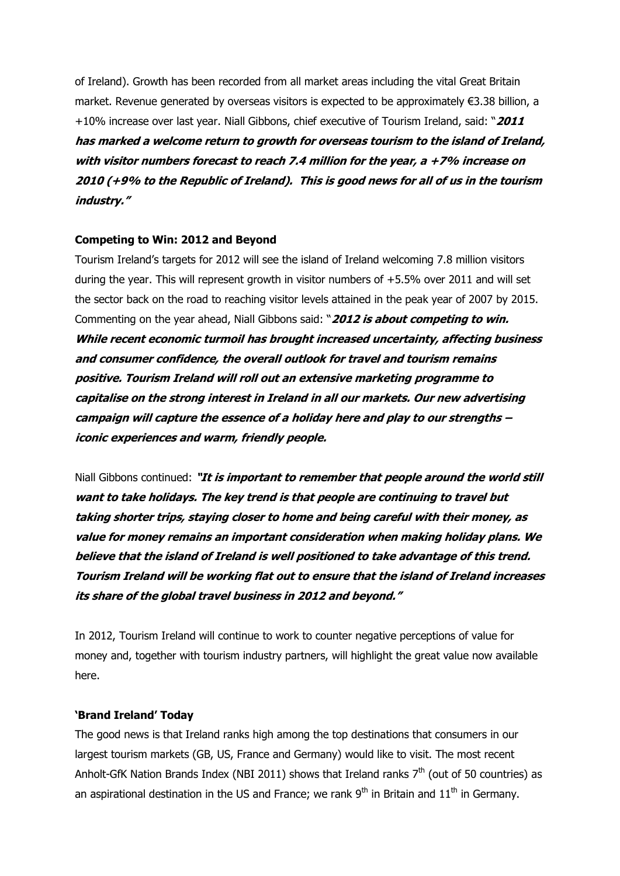of Ireland). Growth has been recorded from all market areas including the vital Great Britain market. Revenue generated by overseas visitors is expected to be approximately €3.38 billion, a +10% increase over last year. Niall Gibbons, chief executive of Tourism Ireland, said: "**2011 has marked a welcome return to growth for overseas tourism to the island of Ireland, with visitor numbers forecast to reach 7.4 million for the year, a +7% increase on 2010 (+9% to the Republic of Ireland). This is good news for all of us in the tourism industry."**

### **Competing to Win: 2012 and Beyond**

Tourism Ireland"s targets for 2012 will see the island of Ireland welcoming 7.8 million visitors during the year. This will represent growth in visitor numbers of +5.5% over 2011 and will set the sector back on the road to reaching visitor levels attained in the peak year of 2007 by 2015. Commenting on the year ahead, Niall Gibbons said: "**2012 is about competing to win. While recent economic turmoil has brought increased uncertainty, affecting business and consumer confidence, the overall outlook for travel and tourism remains positive. Tourism Ireland will roll out an extensive marketing programme to capitalise on the strong interest in Ireland in all our markets. Our new advertising campaign will capture the essence of a holiday here and play to our strengths – iconic experiences and warm, friendly people.** 

Niall Gibbons continued: **"It is important to remember that people around the world still want to take holidays. The key trend is that people are continuing to travel but taking shorter trips, staying closer to home and being careful with their money, as value for money remains an important consideration when making holiday plans. We believe that the island of Ireland is well positioned to take advantage of this trend. Tourism Ireland will be working flat out to ensure that the island of Ireland increases its share of the global travel business in 2012 and beyond."**

In 2012, Tourism Ireland will continue to work to counter negative perceptions of value for money and, together with tourism industry partners, will highlight the great value now available here.

#### **"Brand Ireland" Today**

The good news is that Ireland ranks high among the top destinations that consumers in our largest tourism markets (GB, US, France and Germany) would like to visit. The most recent Anholt-GfK Nation Brands Index (NBI 2011) shows that Ireland ranks  $7<sup>th</sup>$  (out of 50 countries) as an aspirational destination in the US and France; we rank  $9<sup>th</sup>$  in Britain and  $11<sup>th</sup>$  in Germany.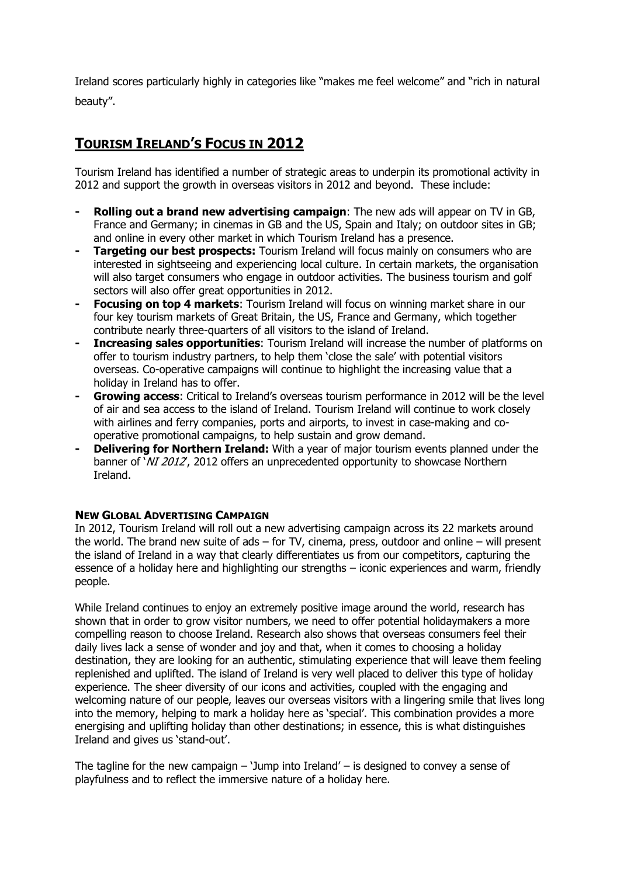Ireland scores particularly highly in categories like "makes me feel welcome" and "rich in natural beauty".

# **TOURISM IRELAND"S FOCUS IN 2012**

Tourism Ireland has identified a number of strategic areas to underpin its promotional activity in 2012 and support the growth in overseas visitors in 2012 and beyond. These include:

- **- Rolling out a brand new advertising campaign**: The new ads will appear on TV in GB, France and Germany; in cinemas in GB and the US, Spain and Italy; on outdoor sites in GB; and online in every other market in which Tourism Ireland has a presence.
- **- Targeting our best prospects:** Tourism Ireland will focus mainly on consumers who are interested in sightseeing and experiencing local culture. In certain markets, the organisation will also target consumers who engage in outdoor activities. The business tourism and golf sectors will also offer great opportunities in 2012.
- **- Focusing on top 4 markets**: Tourism Ireland will focus on winning market share in our four key tourism markets of Great Britain, the US, France and Germany, which together contribute nearly three-quarters of all visitors to the island of Ireland.
- **- Increasing sales opportunities**: Tourism Ireland will increase the number of platforms on offer to tourism industry partners, to help them "close the sale" with potential visitors overseas. Co-operative campaigns will continue to highlight the increasing value that a holiday in Ireland has to offer.
- **- Growing access**: Critical to Ireland"s overseas tourism performance in 2012 will be the level of air and sea access to the island of Ireland. Tourism Ireland will continue to work closely with airlines and ferry companies, ports and airports, to invest in case-making and cooperative promotional campaigns, to help sustain and grow demand.
- **- Delivering for Northern Ireland:** With a year of major tourism events planned under the banner of '*NI 2012*', 2012 offers an unprecedented opportunity to showcase Northern Ireland.

## **NEW GLOBAL ADVERTISING CAMPAIGN**

In 2012, Tourism Ireland will roll out a new advertising campaign across its 22 markets around the world. The brand new suite of ads – for TV, cinema, press, outdoor and online – will present the island of Ireland in a way that clearly differentiates us from our competitors, capturing the essence of a holiday here and highlighting our strengths – iconic experiences and warm, friendly people.

While Ireland continues to enjoy an extremely positive image around the world, research has shown that in order to grow visitor numbers, we need to offer potential holidaymakers a more compelling reason to choose Ireland. Research also shows that overseas consumers feel their daily lives lack a sense of wonder and joy and that, when it comes to choosing a holiday destination, they are looking for an authentic, stimulating experience that will leave them feeling replenished and uplifted. The island of Ireland is very well placed to deliver this type of holiday experience. The sheer diversity of our icons and activities, coupled with the engaging and welcoming nature of our people, leaves our overseas visitors with a lingering smile that lives long into the memory, helping to mark a holiday here as 'special'. This combination provides a more energising and uplifting holiday than other destinations; in essence, this is what distinguishes Ireland and gives us "stand-out".

The tagline for the new campaign  $-$  'Jump into Ireland'  $-$  is designed to convey a sense of playfulness and to reflect the immersive nature of a holiday here.